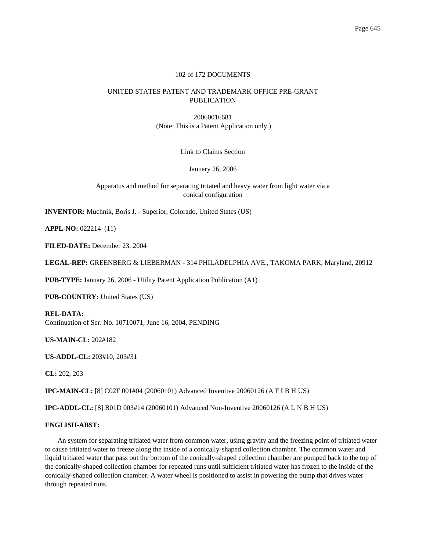## 102 of 172 DOCUMENTS

# UNITED STATES PATENT AND TRADEMARK OFFICE PRE-GRANT PUBLICATION

20060016681 (Note: This is a Patent Application only.)

Link to Claims Section

January 26, 2006

Apparatus and method for separating tritated and heavy water from light water via a conical configuration

**INVENTOR:** Muchnik, Boris J. - Superior, Colorado, United States (US)

**APPL-NO:** 022214 (11)

**FILED-DATE:** December 23, 2004

**LEGAL-REP:** GREENBERG & LIEBERMAN - 314 PHILADELPHIA AVE., TAKOMA PARK, Maryland, 20912

**PUB-TYPE:** January 26, 2006 - Utility Patent Application Publication (A1)

**PUB-COUNTRY:** United States (US)

**REL-DATA:** Continuation of Ser. No. 10710071, June 16, 2004, PENDING

**US-MAIN-CL:** 202#182

**US-ADDL-CL:** 203#10, 203#31

**CL:** 202, 203

**IPC-MAIN-CL:** [8] C02F 001#04 (20060101) Advanced Inventive 20060126 (A F I B H US)

**IPC-ADDL-CL:** [8] B01D 003#14 (20060101) Advanced Non-Inventive 20060126 (A L N B H US)

## **ENGLISH-ABST:**

An system for separating tritiated water from common water, using gravity and the freezing point of tritiated water to cause tritiated water to freeze along the inside of a conically-shaped collection chamber. The common water and liquid tritiated water that pass out the bottom of the conically-shaped collection chamber are pumped back to the top of the conically-shaped collection chamber for repeated runs until sufficient tritiated water has frozen to the inside of the conically-shaped collection chamber. A water wheel is positioned to assist in powering the pump that drives water through repeated runs.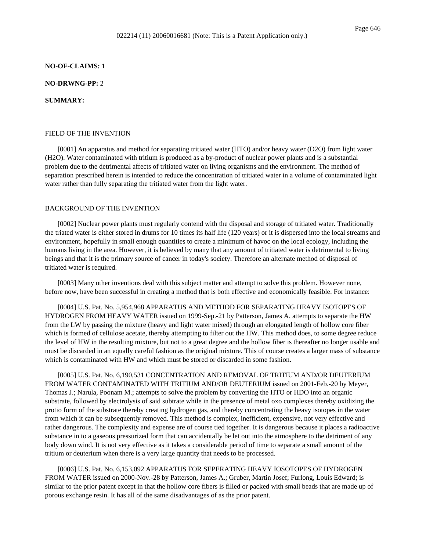#### **NO-OF-CLAIMS:** 1

### **NO-DRWNG-PP:** 2

### **SUMMARY:**

#### FIELD OF THE INVENTION

[0001] An apparatus and method for separating tritiated water (HTO) and/or heavy water (D2O) from light water (H2O). Water contaminated with tritium is produced as a by-product of nuclear power plants and is a substantial problem due to the detrimental affects of tritiated water on living organisms and the environment. The method of separation prescribed herein is intended to reduce the concentration of tritiated water in a volume of contaminated light water rather than fully separating the tritiated water from the light water.

### BACKGROUND OF THE INVENTION

[0002] Nuclear power plants must regularly contend with the disposal and storage of tritiated water. Traditionally the triated water is either stored in drums for 10 times its half life (120 years) or it is dispersed into the local streams and environment, hopefully in small enough quantities to create a minimum of havoc on the local ecology, including the humans living in the area. However, it is believed by many that any amount of tritiated water is detrimental to living beings and that it is the primary source of cancer in today's society. Therefore an alternate method of disposal of tritiated water is required.

[0003] Many other inventions deal with this subject matter and attempt to solve this problem. However none, before now, have been successful in creating a method that is both effective and economically feasible. For instance:

[0004] U.S. Pat. No. 5,954,968 APPARATUS AND METHOD FOR SEPARATING HEAVY ISOTOPES OF HYDROGEN FROM HEAVY WATER issued on 1999-Sep.-21 by Patterson, James A. attempts to separate the HW from the LW by passing the mixture (heavy and light water mixed) through an elongated length of hollow core fiber which is formed of cellulose acetate, thereby attempting to filter out the HW. This method does, to some degree reduce the level of HW in the resulting mixture, but not to a great degree and the hollow fiber is thereafter no longer usable and must be discarded in an equally careful fashion as the original mixture. This of course creates a larger mass of substance which is contaminated with HW and which must be stored or discarded in some fashion.

[0005] U.S. Pat. No. 6,190,531 CONCENTRATION AND REMOVAL OF TRITIUM AND/OR DEUTERIUM FROM WATER CONTAMINATED WITH TRITIUM AND/OR DEUTERIUM issued on 2001-Feb.-20 by Meyer, Thomas J.; Narula, Poonam M.; attempts to solve the problem by converting the HTO or HDO into an organic substrate, followed by electrolysis of said subtrate while in the presence of metal oxo complexes thereby oxidizing the protio form of the substrate thereby creating hydrogen gas, and thereby concentrating the heavy isotopes in the water from which it can be subsequently removed. This method is complex, inefficient, expensive, not very effective and rather dangerous. The complexity and expense are of course tied together. It is dangerous because it places a radioactive substance in to a gaseous pressurized form that can accidentally be let out into the atmosphere to the detriment of any body down wind. It is not very effective as it takes a considerable period of time to separate a small amount of the tritium or deuterium when there is a very large quantity that needs to be processed.

[0006] U.S. Pat. No. 6,153,092 APPARATUS FOR SEPERATING HEAVY IOSOTOPES OF HYDROGEN FROM WATER issued on 2000-Nov.-28 by Patterson, James A.; Gruber, Martin Josef; Furlong, Louis Edward; is similar to the prior patent except in that the hollow core fibers is filled or packed with small beads that are made up of porous exchange resin. It has all of the same disadvantages of as the prior patent.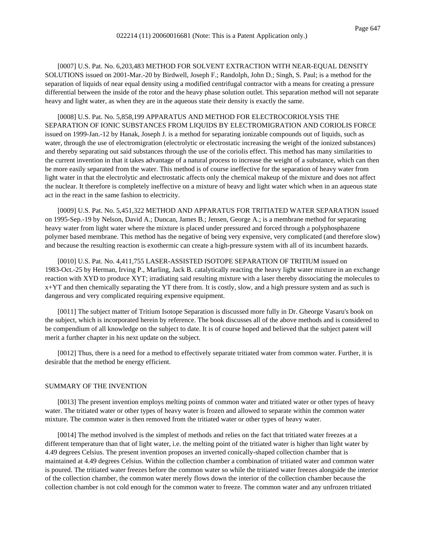[0007] U.S. Pat. No. 6,203,483 METHOD FOR SOLVENT EXTRACTION WITH NEAR-EQUAL DENSITY SOLUTIONS issued on 2001-Mar.-20 by Birdwell, Joseph F.; Randolph, John D.; Singh, S. Paul; is a method for the separation of liquids of near equal density using a modified centrifugal contractor with a means for creating a pressure differential between the inside of the rotor and the heavy phase solution outlet. This separation method will not separate heavy and light water, as when they are in the aqueous state their density is exactly the same.

[0008] U.S. Pat. No. 5,858,199 APPARATUS AND METHOD FOR ELECTROCORIOLYSIS THE SEPARATION OF IONIC SUBSTANCES FROM LIQUIDS BY ELECTROMIGRATION AND CORIOLIS FORCE issued on 1999-Jan.-12 by Hanak, Joseph J. is a method for separating ionizable compounds out of liquids, such as water, through the use of electromigration (electrolytic or electrostatic increasing the weight of the ionized substances) and thereby separating out said substances through the use of the coriolis effect. This method has many similarities to the current invention in that it takes advantage of a natural process to increase the weight of a substance, which can then be more easily separated from the water. This method is of course ineffective for the separation of heavy water from light water in that the electrolytic and electrostatic affects only the chemical makeup of the mixture and does not affect the nuclear. It therefore is completely ineffective on a mixture of heavy and light water which when in an aqueous state act in the react in the same fashion to electricity.

[0009] U.S. Pat. No. 5,451,322 METHOD AND APPARATUS FOR TRITIATED WATER SEPARATION issued on 1995-Sep.-19 by Nelson, David A.; Duncan, James B.; Jensen, George A.; is a membrane method for separating heavy water from light water where the mixture is placed under pressured and forced through a polyphosphazene polymer based membrane. This method has the negative of being very expensive, very complicated (and therefore slow) and because the resulting reaction is exothermic can create a high-pressure system with all of its incumbent hazards.

[0010] U.S. Pat. No. 4,411,755 LASER-ASSISTED ISOTOPE SEPARATION OF TRITIUM issued on 1983-Oct.-25 by Herman, Irving P., Marling, Jack B. catalytically reacting the heavy light water mixture in an exchange reaction with XYD to produce XYT; irradiating said resulting mixture with a laser thereby dissociating the molecules to x+YT and then chemically separating the YT there from. It is costly, slow, and a high pressure system and as such is dangerous and very complicated requiring expensive equipment.

[0011] The subject matter of Tritium Isotope Separation is discussed more fully in Dr. Gheorge Vasaru's book on the subject, which is incorporated herein by reference. The book discusses all of the above methods and is considered to be compendium of all knowledge on the subject to date. It is of course hoped and believed that the subject patent will merit a further chapter in his next update on the subject.

[0012] Thus, there is a need for a method to effectively separate tritiated water from common water. Further, it is desirable that the method be energy efficient.

### SUMMARY OF THE INVENTION

[0013] The present invention employs melting points of common water and tritiated water or other types of heavy water. The tritiated water or other types of heavy water is frozen and allowed to separate within the common water mixture. The common water is then removed from the tritiated water or other types of heavy water.

[0014] The method involved is the simplest of methods and relies on the fact that tritiated water freezes at a different temperature than that of light water, i.e. the melting point of the tritiated water is higher than light water by 4.49 degrees Celsius. The present invention proposes an inverted conically-shaped collection chamber that is maintained at 4.49 degrees Celsius. Within the collection chamber a combination of tritiated water and common water is poured. The tritiated water freezes before the common water so while the tritiated water freezes alongside the interior of the collection chamber, the common water merely flows down the interior of the collection chamber because the collection chamber is not cold enough for the common water to freeze. The common water and any unfrozen tritiated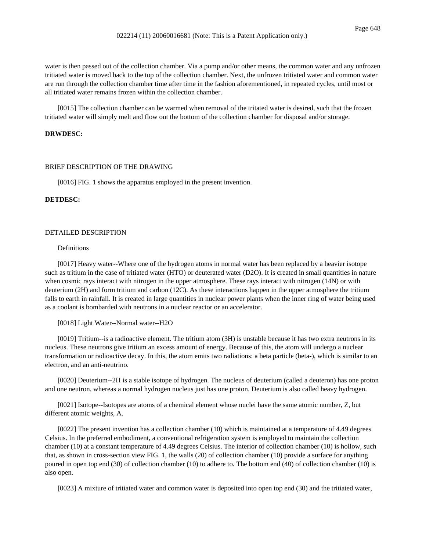water is then passed out of the collection chamber. Via a pump and/or other means, the common water and any unfrozen tritiated water is moved back to the top of the collection chamber. Next, the unfrozen tritiated water and common water are run through the collection chamber time after time in the fashion aforementioned, in repeated cycles, until most or all tritiated water remains frozen within the collection chamber.

[0015] The collection chamber can be warmed when removal of the tritated water is desired, such that the frozen tritiated water will simply melt and flow out the bottom of the collection chamber for disposal and/or storage.

#### **DRWDESC:**

#### BRIEF DESCRIPTION OF THE DRAWING

[0016] FIG. 1 shows the apparatus employed in the present invention.

#### **DETDESC:**

#### DETAILED DESCRIPTION

## Definitions

[0017] Heavy water--Where one of the hydrogen atoms in normal water has been replaced by a heavier isotope such as tritium in the case of tritiated water (HTO) or deuterated water (D2O). It is created in small quantities in nature when cosmic rays interact with nitrogen in the upper atmosphere. These rays interact with nitrogen (14N) or with deuterium (2H) and form tritium and carbon (12C). As these interactions happen in the upper atmosphere the tritium falls to earth in rainfall. It is created in large quantities in nuclear power plants when the inner ring of water being used as a coolant is bombarded with neutrons in a nuclear reactor or an accelerator.

[0018] Light Water--Normal water--H2O

[0019] Tritium--is a radioactive element. The tritium atom (3H) is unstable because it has two extra neutrons in its nucleus. These neutrons give tritium an excess amount of energy. Because of this, the atom will undergo a nuclear transformation or radioactive decay. In this, the atom emits two radiations: a beta particle (beta-), which is similar to an electron, and an anti-neutrino.

[0020] Deuterium--2H is a stable isotope of hydrogen. The nucleus of deuterium (called a deuteron) has one proton and one neutron, whereas a normal hydrogen nucleus just has one proton. Deuterium is also called heavy hydrogen.

[0021] Isotope--Isotopes are atoms of a chemical element whose nuclei have the same atomic number, Z, but different atomic weights, A.

[0022] The present invention has a collection chamber (10) which is maintained at a temperature of 4.49 degrees Celsius. In the preferred embodiment, a conventional refrigeration system is employed to maintain the collection chamber (10) at a constant temperature of 4.49 degrees Celsius. The interior of collection chamber (10) is hollow, such that, as shown in cross-section view FIG. 1, the walls (20) of collection chamber (10) provide a surface for anything poured in open top end (30) of collection chamber (10) to adhere to. The bottom end (40) of collection chamber (10) is also open.

[0023] A mixture of tritiated water and common water is deposited into open top end (30) and the tritiated water,